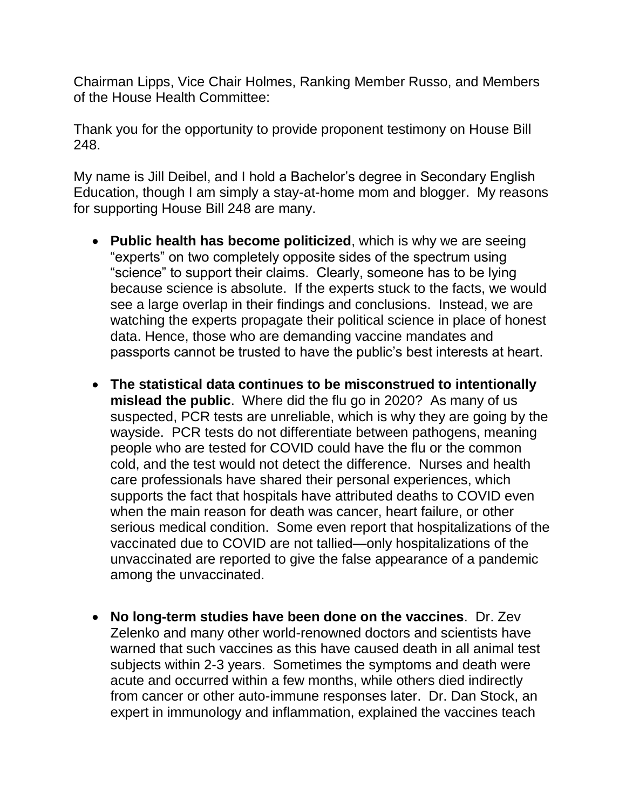Chairman Lipps, Vice Chair Holmes, Ranking Member Russo, and Members of the House Health Committee:

Thank you for the opportunity to provide proponent testimony on House Bill 248.

My name is Jill Deibel, and I hold a Bachelor's degree in Secondary English Education, though I am simply a stay-at-home mom and blogger. My reasons for supporting House Bill 248 are many.

- **Public health has become politicized**, which is why we are seeing "experts" on two completely opposite sides of the spectrum using "science" to support their claims. Clearly, someone has to be lying because science is absolute. If the experts stuck to the facts, we would see a large overlap in their findings and conclusions. Instead, we are watching the experts propagate their political science in place of honest data. Hence, those who are demanding vaccine mandates and passports cannot be trusted to have the public's best interests at heart.
- **The statistical data continues to be misconstrued to intentionally mislead the public**. Where did the flu go in 2020? As many of us suspected, PCR tests are unreliable, which is why they are going by the wayside. PCR tests do not differentiate between pathogens, meaning people who are tested for COVID could have the flu or the common cold, and the test would not detect the difference. Nurses and health care professionals have shared their personal experiences, which supports the fact that hospitals have attributed deaths to COVID even when the main reason for death was cancer, heart failure, or other serious medical condition. Some even report that hospitalizations of the vaccinated due to COVID are not tallied—only hospitalizations of the unvaccinated are reported to give the false appearance of a pandemic among the unvaccinated.
- **No long-term studies have been done on the vaccines**. Dr. Zev Zelenko and many other world-renowned doctors and scientists have warned that such vaccines as this have caused death in all animal test subjects within 2-3 years. Sometimes the symptoms and death were acute and occurred within a few months, while others died indirectly from cancer or other auto-immune responses later. Dr. Dan Stock, an expert in immunology and inflammation, explained the vaccines teach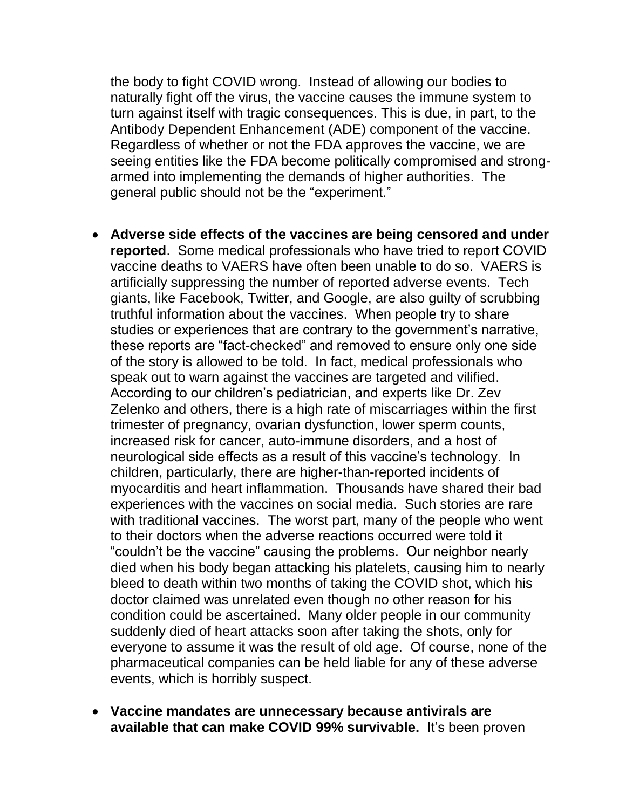the body to fight COVID wrong. Instead of allowing our bodies to naturally fight off the virus, the vaccine causes the immune system to turn against itself with tragic consequences. This is due, in part, to the Antibody Dependent Enhancement (ADE) component of the vaccine. Regardless of whether or not the FDA approves the vaccine, we are seeing entities like the FDA become politically compromised and strongarmed into implementing the demands of higher authorities. The general public should not be the "experiment."

- **Adverse side effects of the vaccines are being censored and under reported**. Some medical professionals who have tried to report COVID vaccine deaths to VAERS have often been unable to do so. VAERS is artificially suppressing the number of reported adverse events. Tech giants, like Facebook, Twitter, and Google, are also guilty of scrubbing truthful information about the vaccines. When people try to share studies or experiences that are contrary to the government's narrative, these reports are "fact-checked" and removed to ensure only one side of the story is allowed to be told. In fact, medical professionals who speak out to warn against the vaccines are targeted and vilified. According to our children's pediatrician, and experts like Dr. Zev Zelenko and others, there is a high rate of miscarriages within the first trimester of pregnancy, ovarian dysfunction, lower sperm counts, increased risk for cancer, auto-immune disorders, and a host of neurological side effects as a result of this vaccine's technology. In children, particularly, there are higher-than-reported incidents of myocarditis and heart inflammation. Thousands have shared their bad experiences with the vaccines on social media. Such stories are rare with traditional vaccines. The worst part, many of the people who went to their doctors when the adverse reactions occurred were told it "couldn't be the vaccine" causing the problems. Our neighbor nearly died when his body began attacking his platelets, causing him to nearly bleed to death within two months of taking the COVID shot, which his doctor claimed was unrelated even though no other reason for his condition could be ascertained. Many older people in our community suddenly died of heart attacks soon after taking the shots, only for everyone to assume it was the result of old age. Of course, none of the pharmaceutical companies can be held liable for any of these adverse events, which is horribly suspect.
- **Vaccine mandates are unnecessary because antivirals are available that can make COVID 99% survivable.** It's been proven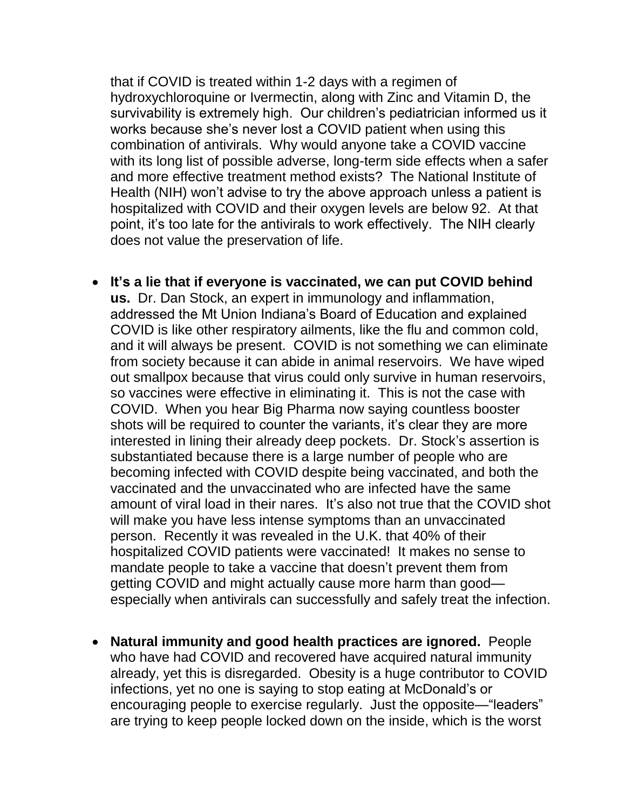that if COVID is treated within 1-2 days with a regimen of hydroxychloroquine or Ivermectin, along with Zinc and Vitamin D, the survivability is extremely high. Our children's pediatrician informed us it works because she's never lost a COVID patient when using this combination of antivirals. Why would anyone take a COVID vaccine with its long list of possible adverse, long-term side effects when a safer and more effective treatment method exists? The National Institute of Health (NIH) won't advise to try the above approach unless a patient is hospitalized with COVID and their oxygen levels are below 92. At that point, it's too late for the antivirals to work effectively. The NIH clearly does not value the preservation of life.

- **It's a lie that if everyone is vaccinated, we can put COVID behind us.** Dr. Dan Stock, an expert in immunology and inflammation, addressed the Mt Union Indiana's Board of Education and explained COVID is like other respiratory ailments, like the flu and common cold, and it will always be present. COVID is not something we can eliminate from society because it can abide in animal reservoirs. We have wiped out smallpox because that virus could only survive in human reservoirs, so vaccines were effective in eliminating it. This is not the case with COVID. When you hear Big Pharma now saying countless booster shots will be required to counter the variants, it's clear they are more interested in lining their already deep pockets. Dr. Stock's assertion is substantiated because there is a large number of people who are becoming infected with COVID despite being vaccinated, and both the vaccinated and the unvaccinated who are infected have the same amount of viral load in their nares. It's also not true that the COVID shot will make you have less intense symptoms than an unvaccinated person. Recently it was revealed in the U.K. that 40% of their hospitalized COVID patients were vaccinated! It makes no sense to mandate people to take a vaccine that doesn't prevent them from getting COVID and might actually cause more harm than good especially when antivirals can successfully and safely treat the infection.
- **Natural immunity and good health practices are ignored.** People who have had COVID and recovered have acquired natural immunity already, yet this is disregarded. Obesity is a huge contributor to COVID infections, yet no one is saying to stop eating at McDonald's or encouraging people to exercise regularly. Just the opposite—"leaders" are trying to keep people locked down on the inside, which is the worst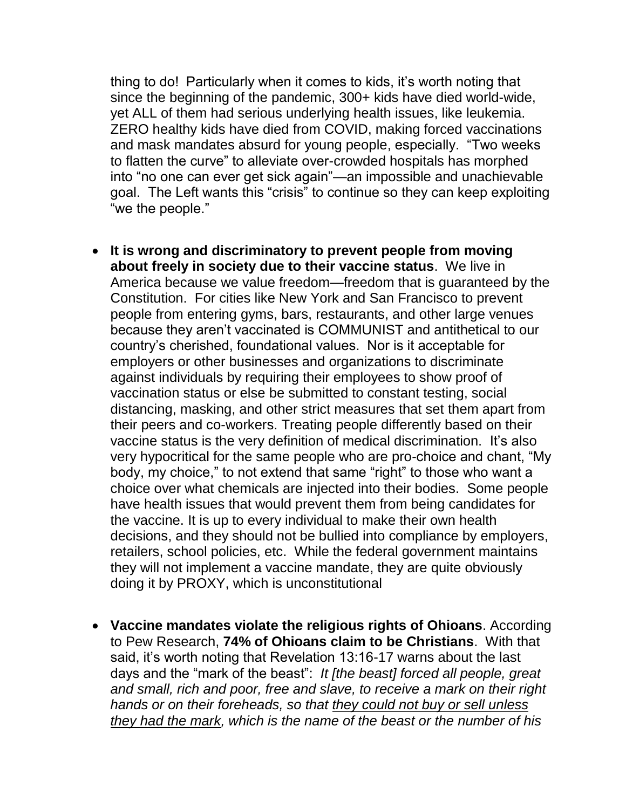thing to do! Particularly when it comes to kids, it's worth noting that since the beginning of the pandemic, 300+ kids have died world-wide, yet ALL of them had serious underlying health issues, like leukemia. ZERO healthy kids have died from COVID, making forced vaccinations and mask mandates absurd for young people, especially. "Two weeks to flatten the curve" to alleviate over-crowded hospitals has morphed into "no one can ever get sick again"—an impossible and unachievable goal. The Left wants this "crisis" to continue so they can keep exploiting "we the people."

- **It is wrong and discriminatory to prevent people from moving about freely in society due to their vaccine status**. We live in America because we value freedom—freedom that is guaranteed by the Constitution. For cities like New York and San Francisco to prevent people from entering gyms, bars, restaurants, and other large venues because they aren't vaccinated is COMMUNIST and antithetical to our country's cherished, foundational values. Nor is it acceptable for employers or other businesses and organizations to discriminate against individuals by requiring their employees to show proof of vaccination status or else be submitted to constant testing, social distancing, masking, and other strict measures that set them apart from their peers and co-workers. Treating people differently based on their vaccine status is the very definition of medical discrimination. It's also very hypocritical for the same people who are pro-choice and chant, "My body, my choice," to not extend that same "right" to those who want a choice over what chemicals are injected into their bodies. Some people have health issues that would prevent them from being candidates for the vaccine. It is up to every individual to make their own health decisions, and they should not be bullied into compliance by employers, retailers, school policies, etc. While the federal government maintains they will not implement a vaccine mandate, they are quite obviously doing it by PROXY, which is unconstitutional
- **Vaccine mandates violate the religious rights of Ohioans**. According to Pew Research, **74% of Ohioans claim to be Christians**. With that said, it's worth noting that Revelation 13:16-17 warns about the last days and the "mark of the beast": *It [the beast] forced all people, great and small, rich and poor, free and slave, to receive a mark on their right hands or on their foreheads, so that they could not buy or sell unless they had the mark, which is the name of the beast or the number of his*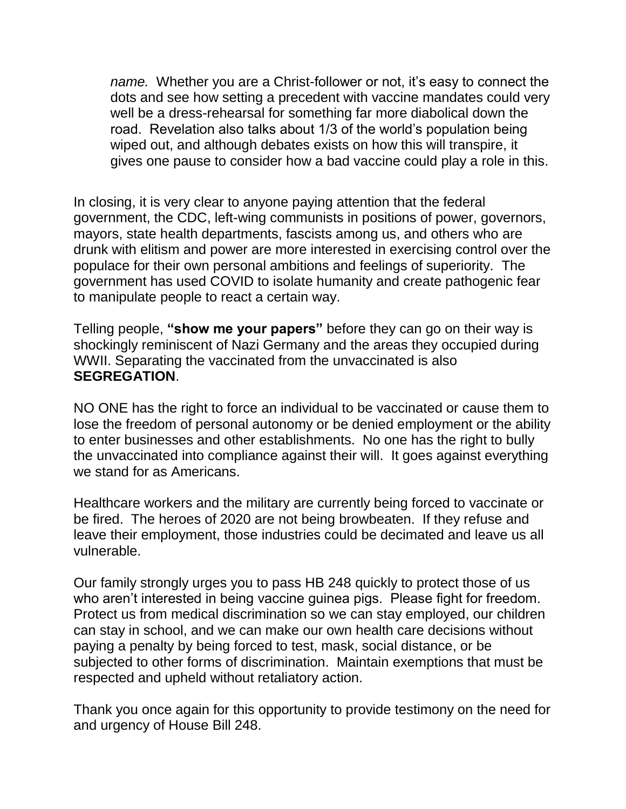*name.* Whether you are a Christ-follower or not, it's easy to connect the dots and see how setting a precedent with vaccine mandates could very well be a dress-rehearsal for something far more diabolical down the road. Revelation also talks about 1/3 of the world's population being wiped out, and although debates exists on how this will transpire, it gives one pause to consider how a bad vaccine could play a role in this.

In closing, it is very clear to anyone paying attention that the federal government, the CDC, left-wing communists in positions of power, governors, mayors, state health departments, fascists among us, and others who are drunk with elitism and power are more interested in exercising control over the populace for their own personal ambitions and feelings of superiority. The government has used COVID to isolate humanity and create pathogenic fear to manipulate people to react a certain way.

Telling people, **"show me your papers"** before they can go on their way is shockingly reminiscent of Nazi Germany and the areas they occupied during WWII. Separating the vaccinated from the unvaccinated is also **SEGREGATION**.

NO ONE has the right to force an individual to be vaccinated or cause them to lose the freedom of personal autonomy or be denied employment or the ability to enter businesses and other establishments. No one has the right to bully the unvaccinated into compliance against their will. It goes against everything we stand for as Americans.

Healthcare workers and the military are currently being forced to vaccinate or be fired. The heroes of 2020 are not being browbeaten. If they refuse and leave their employment, those industries could be decimated and leave us all vulnerable.

Our family strongly urges you to pass HB 248 quickly to protect those of us who aren't interested in being vaccine guinea pigs. Please fight for freedom. Protect us from medical discrimination so we can stay employed, our children can stay in school, and we can make our own health care decisions without paying a penalty by being forced to test, mask, social distance, or be subjected to other forms of discrimination. Maintain exemptions that must be respected and upheld without retaliatory action.

Thank you once again for this opportunity to provide testimony on the need for and urgency of House Bill 248.